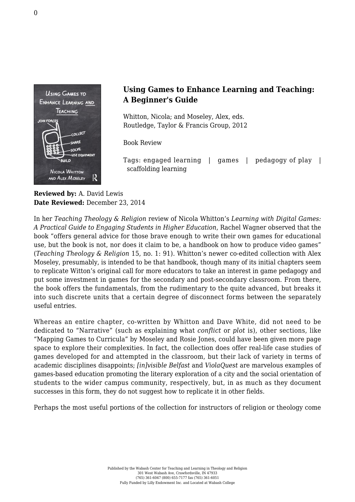

## **Using Games to Enhance Learning and Teaching: A Beginner's Guide**

Whitton, Nicola; and Moseley, Alex, eds. [Routledge, Taylor & Francis Group, 2012](http://www.routledge.com/books/details/9780415897723/)

Book Review

Tags: engaged learning | games | pedagogy of play | scaffolding learning

**Reviewed by:** A. David Lewis **Date Reviewed:** December 23, 2014

In her *Teaching Theology & Religion* review of Nicola Whitton's *Learning with Digital Games: A Practical Guide to Engaging Students in Higher Education*, Rachel Wagner observed that the book "offers general advice for those brave enough to write their own games for educational use, but the book is not, nor does it claim to be, a handbook on how to produce video games" (*Teaching Theology & Religion* 15, no. 1: 91). Whitton's newer co-edited collection with Alex Moseley, presumably, is intended to be that handbook, though many of its initial chapters seem to replicate Witton's original call for more educators to take an interest in game pedagogy and put some investment in games for the secondary and post-secondary classroom. From there, the book offers the fundamentals, from the rudimentary to the quite advanced, but breaks it into such discrete units that a certain degree of disconnect forms between the separately useful entries.

Whereas an entire chapter, co-written by Whitton and Dave White, did not need to be dedicated to "Narrative" (such as explaining what *conflict* or *plot* is), other sections, like "Mapping Games to Curricula" by Moseley and Rosie Jones, could have been given more page space to explore their complexities. In fact, the collection does offer real-life case studies of games developed for and attempted in the classroom, but their lack of variety in terms of academic disciplines disappoints; *[in]visible Belfast* and *ViolaQuest* are marvelous examples of games-based education promoting the literary exploration of a city and the social orientation of students to the wider campus community, respectively, but, in as much as they document successes in this form, they do not suggest how to replicate it in other fields.

Perhaps the most useful portions of the collection for instructors of religion or theology come